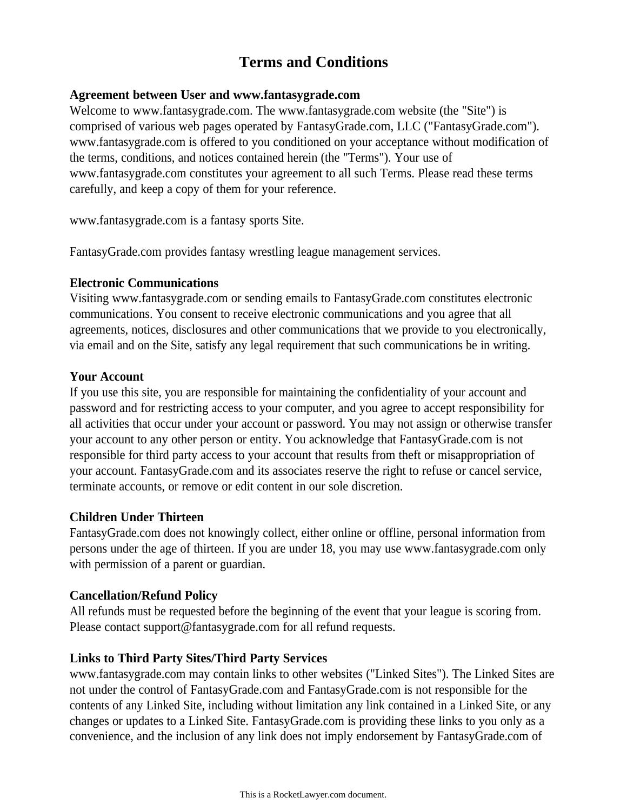# **Terms and Conditions**

### **Agreement between User and www.fantasygrade.com**

Welcome to www.fantasygrade.com. The www.fantasygrade.com website (the "Site") is comprised of various web pages operated by FantasyGrade.com, LLC ("FantasyGrade.com"). www.fantasygrade.com is offered to you conditioned on your acceptance without modification of the terms, conditions, and notices contained herein (the "Terms"). Your use of www.fantasygrade.com constitutes your agreement to all such Terms. Please read these terms carefully, and keep a copy of them for your reference.

www.fantasygrade.com is a fantasy sports Site.

FantasyGrade.com provides fantasy wrestling league management services.

### **Electronic Communications**

Visiting www.fantasygrade.com or sending emails to FantasyGrade.com constitutes electronic communications. You consent to receive electronic communications and you agree that all agreements, notices, disclosures and other communications that we provide to you electronically, via email and on the Site, satisfy any legal requirement that such communications be in writing.

### **Your Account**

If you use this site, you are responsible for maintaining the confidentiality of your account and password and for restricting access to your computer, and you agree to accept responsibility for all activities that occur under your account or password. You may not assign or otherwise transfer your account to any other person or entity. You acknowledge that FantasyGrade.com is not responsible for third party access to your account that results from theft or misappropriation of your account. FantasyGrade.com and its associates reserve the right to refuse or cancel service, terminate accounts, or remove or edit content in our sole discretion.

# **Children Under Thirteen**

FantasyGrade.com does not knowingly collect, either online or offline, personal information from persons under the age of thirteen. If you are under 18, you may use www.fantasygrade.com only with permission of a parent or guardian.

# **Cancellation/Refund Policy**

All refunds must be requested before the beginning of the event that your league is scoring from. Please contact support@fantasygrade.com for all refund requests.

# **Links to Third Party Sites/Third Party Services**

www.fantasygrade.com may contain links to other websites ("Linked Sites"). The Linked Sites are not under the control of FantasyGrade.com and FantasyGrade.com is not responsible for the contents of any Linked Site, including without limitation any link contained in a Linked Site, or any changes or updates to a Linked Site. FantasyGrade.com is providing these links to you only as a convenience, and the inclusion of any link does not imply endorsement by FantasyGrade.com of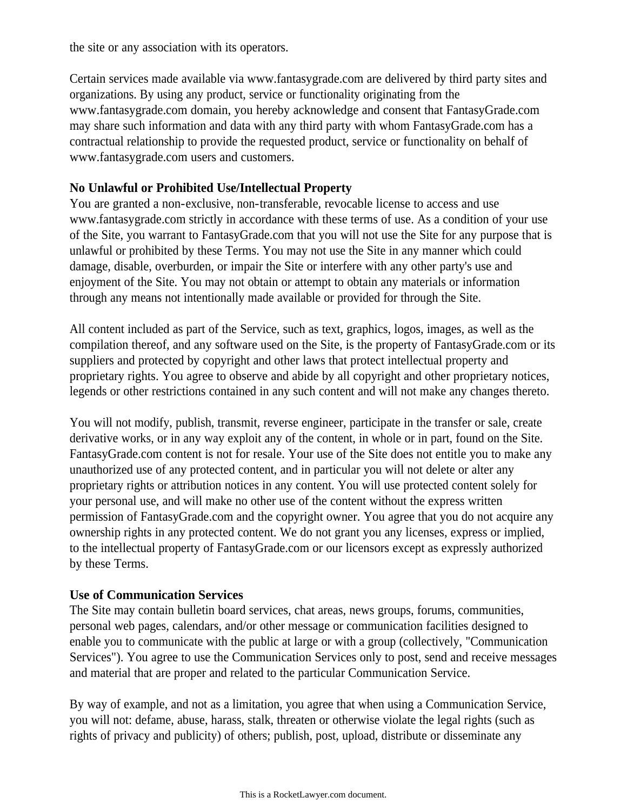the site or any association with its operators.

Certain services made available via www.fantasygrade.com are delivered by third party sites and organizations. By using any product, service or functionality originating from the www.fantasygrade.com domain, you hereby acknowledge and consent that FantasyGrade.com may share such information and data with any third party with whom FantasyGrade.com has a contractual relationship to provide the requested product, service or functionality on behalf of www.fantasygrade.com users and customers.

# **No Unlawful or Prohibited Use/Intellectual Property**

You are granted a non-exclusive, non-transferable, revocable license to access and use www.fantasygrade.com strictly in accordance with these terms of use. As a condition of your use of the Site, you warrant to FantasyGrade.com that you will not use the Site for any purpose that is unlawful or prohibited by these Terms. You may not use the Site in any manner which could damage, disable, overburden, or impair the Site or interfere with any other party's use and enjoyment of the Site. You may not obtain or attempt to obtain any materials or information through any means not intentionally made available or provided for through the Site.

All content included as part of the Service, such as text, graphics, logos, images, as well as the compilation thereof, and any software used on the Site, is the property of FantasyGrade.com or its suppliers and protected by copyright and other laws that protect intellectual property and proprietary rights. You agree to observe and abide by all copyright and other proprietary notices, legends or other restrictions contained in any such content and will not make any changes thereto.

You will not modify, publish, transmit, reverse engineer, participate in the transfer or sale, create derivative works, or in any way exploit any of the content, in whole or in part, found on the Site. FantasyGrade.com content is not for resale. Your use of the Site does not entitle you to make any unauthorized use of any protected content, and in particular you will not delete or alter any proprietary rights or attribution notices in any content. You will use protected content solely for your personal use, and will make no other use of the content without the express written permission of FantasyGrade.com and the copyright owner. You agree that you do not acquire any ownership rights in any protected content. We do not grant you any licenses, express or implied, to the intellectual property of FantasyGrade.com or our licensors except as expressly authorized by these Terms.

### **Use of Communication Services**

The Site may contain bulletin board services, chat areas, news groups, forums, communities, personal web pages, calendars, and/or other message or communication facilities designed to enable you to communicate with the public at large or with a group (collectively, "Communication Services"). You agree to use the Communication Services only to post, send and receive messages and material that are proper and related to the particular Communication Service.

By way of example, and not as a limitation, you agree that when using a Communication Service, you will not: defame, abuse, harass, stalk, threaten or otherwise violate the legal rights (such as rights of privacy and publicity) of others; publish, post, upload, distribute or disseminate any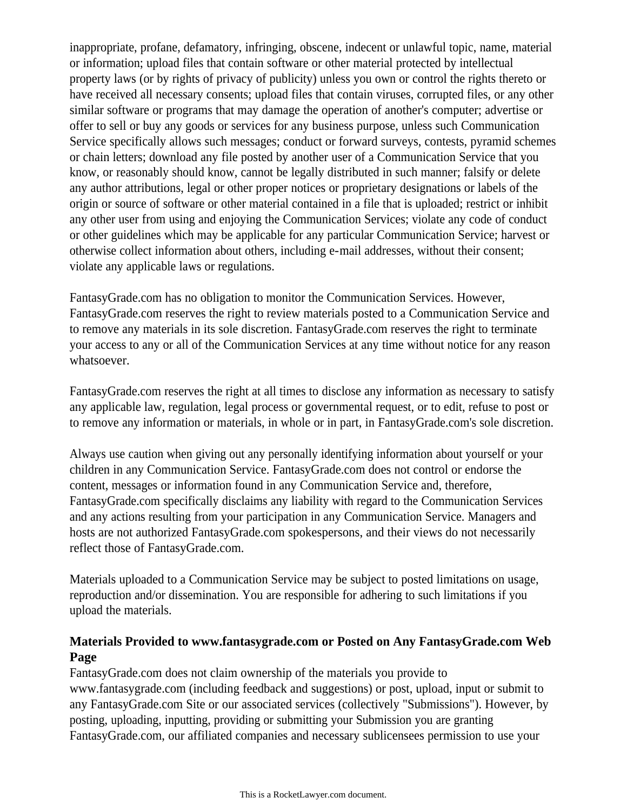inappropriate, profane, defamatory, infringing, obscene, indecent or unlawful topic, name, material or information; upload files that contain software or other material protected by intellectual property laws (or by rights of privacy of publicity) unless you own or control the rights thereto or have received all necessary consents; upload files that contain viruses, corrupted files, or any other similar software or programs that may damage the operation of another's computer; advertise or offer to sell or buy any goods or services for any business purpose, unless such Communication Service specifically allows such messages; conduct or forward surveys, contests, pyramid schemes or chain letters; download any file posted by another user of a Communication Service that you know, or reasonably should know, cannot be legally distributed in such manner; falsify or delete any author attributions, legal or other proper notices or proprietary designations or labels of the origin or source of software or other material contained in a file that is uploaded; restrict or inhibit any other user from using and enjoying the Communication Services; violate any code of conduct or other guidelines which may be applicable for any particular Communication Service; harvest or otherwise collect information about others, including e-mail addresses, without their consent; violate any applicable laws or regulations.

FantasyGrade.com has no obligation to monitor the Communication Services. However, FantasyGrade.com reserves the right to review materials posted to a Communication Service and to remove any materials in its sole discretion. FantasyGrade.com reserves the right to terminate your access to any or all of the Communication Services at any time without notice for any reason whatsoever.

FantasyGrade.com reserves the right at all times to disclose any information as necessary to satisfy any applicable law, regulation, legal process or governmental request, or to edit, refuse to post or to remove any information or materials, in whole or in part, in FantasyGrade.com's sole discretion.

Always use caution when giving out any personally identifying information about yourself or your children in any Communication Service. FantasyGrade.com does not control or endorse the content, messages or information found in any Communication Service and, therefore, FantasyGrade.com specifically disclaims any liability with regard to the Communication Services and any actions resulting from your participation in any Communication Service. Managers and hosts are not authorized FantasyGrade.com spokespersons, and their views do not necessarily reflect those of FantasyGrade.com.

Materials uploaded to a Communication Service may be subject to posted limitations on usage, reproduction and/or dissemination. You are responsible for adhering to such limitations if you upload the materials.

# **Materials Provided to www.fantasygrade.com or Posted on Any FantasyGrade.com Web Page**

FantasyGrade.com does not claim ownership of the materials you provide to www.fantasygrade.com (including feedback and suggestions) or post, upload, input or submit to any FantasyGrade.com Site or our associated services (collectively "Submissions"). However, by posting, uploading, inputting, providing or submitting your Submission you are granting FantasyGrade.com, our affiliated companies and necessary sublicensees permission to use your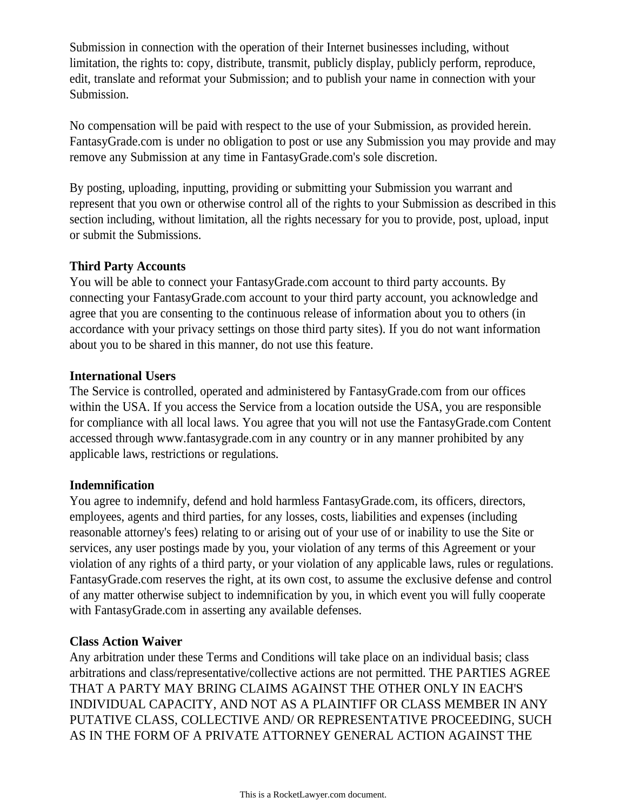Submission in connection with the operation of their Internet businesses including, without limitation, the rights to: copy, distribute, transmit, publicly display, publicly perform, reproduce, edit, translate and reformat your Submission; and to publish your name in connection with your Submission.

No compensation will be paid with respect to the use of your Submission, as provided herein. FantasyGrade.com is under no obligation to post or use any Submission you may provide and may remove any Submission at any time in FantasyGrade.com's sole discretion.

By posting, uploading, inputting, providing or submitting your Submission you warrant and represent that you own or otherwise control all of the rights to your Submission as described in this section including, without limitation, all the rights necessary for you to provide, post, upload, input or submit the Submissions.

# **Third Party Accounts**

You will be able to connect your FantasyGrade.com account to third party accounts. By connecting your FantasyGrade.com account to your third party account, you acknowledge and agree that you are consenting to the continuous release of information about you to others (in accordance with your privacy settings on those third party sites). If you do not want information about you to be shared in this manner, do not use this feature.

### **International Users**

The Service is controlled, operated and administered by FantasyGrade.com from our offices within the USA. If you access the Service from a location outside the USA, you are responsible for compliance with all local laws. You agree that you will not use the FantasyGrade.com Content accessed through www.fantasygrade.com in any country or in any manner prohibited by any applicable laws, restrictions or regulations.

### **Indemnification**

You agree to indemnify, defend and hold harmless FantasyGrade.com, its officers, directors, employees, agents and third parties, for any losses, costs, liabilities and expenses (including reasonable attorney's fees) relating to or arising out of your use of or inability to use the Site or services, any user postings made by you, your violation of any terms of this Agreement or your violation of any rights of a third party, or your violation of any applicable laws, rules or regulations. FantasyGrade.com reserves the right, at its own cost, to assume the exclusive defense and control of any matter otherwise subject to indemnification by you, in which event you will fully cooperate with FantasyGrade.com in asserting any available defenses.

# **Class Action Waiver**

Any arbitration under these Terms and Conditions will take place on an individual basis; class arbitrations and class/representative/collective actions are not permitted. THE PARTIES AGREE THAT A PARTY MAY BRING CLAIMS AGAINST THE OTHER ONLY IN EACH'S INDIVIDUAL CAPACITY, AND NOT AS A PLAINTIFF OR CLASS MEMBER IN ANY PUTATIVE CLASS, COLLECTIVE AND/ OR REPRESENTATIVE PROCEEDING, SUCH AS IN THE FORM OF A PRIVATE ATTORNEY GENERAL ACTION AGAINST THE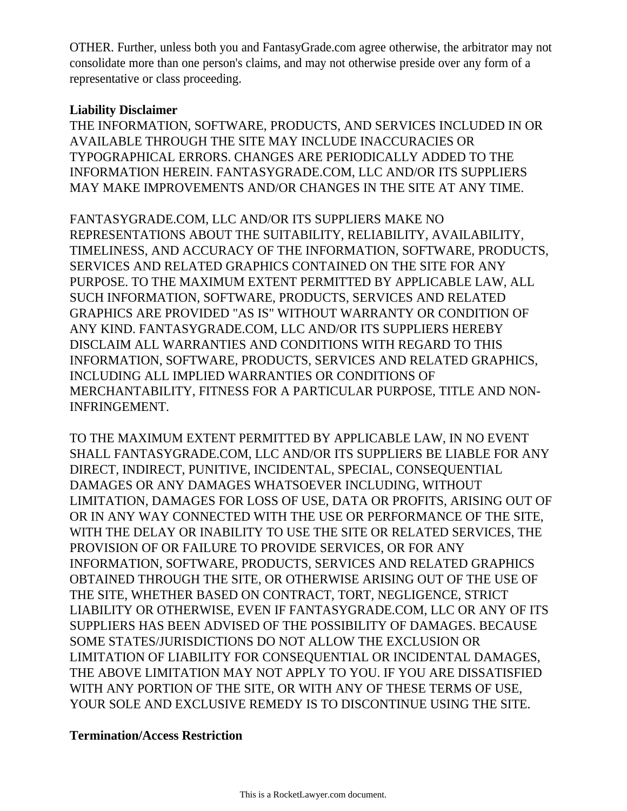OTHER. Further, unless both you and FantasyGrade.com agree otherwise, the arbitrator may not consolidate more than one person's claims, and may not otherwise preside over any form of a representative or class proceeding.

### **Liability Disclaimer**

THE INFORMATION, SOFTWARE, PRODUCTS, AND SERVICES INCLUDED IN OR AVAILABLE THROUGH THE SITE MAY INCLUDE INACCURACIES OR TYPOGRAPHICAL ERRORS. CHANGES ARE PERIODICALLY ADDED TO THE INFORMATION HEREIN. FANTASYGRADE.COM, LLC AND/OR ITS SUPPLIERS MAY MAKE IMPROVEMENTS AND/OR CHANGES IN THE SITE AT ANY TIME.

FANTASYGRADE.COM, LLC AND/OR ITS SUPPLIERS MAKE NO REPRESENTATIONS ABOUT THE SUITABILITY, RELIABILITY, AVAILABILITY, TIMELINESS, AND ACCURACY OF THE INFORMATION, SOFTWARE, PRODUCTS, SERVICES AND RELATED GRAPHICS CONTAINED ON THE SITE FOR ANY PURPOSE. TO THE MAXIMUM EXTENT PERMITTED BY APPLICABLE LAW, ALL SUCH INFORMATION, SOFTWARE, PRODUCTS, SERVICES AND RELATED GRAPHICS ARE PROVIDED "AS IS" WITHOUT WARRANTY OR CONDITION OF ANY KIND. FANTASYGRADE.COM, LLC AND/OR ITS SUPPLIERS HEREBY DISCLAIM ALL WARRANTIES AND CONDITIONS WITH REGARD TO THIS INFORMATION, SOFTWARE, PRODUCTS, SERVICES AND RELATED GRAPHICS, INCLUDING ALL IMPLIED WARRANTIES OR CONDITIONS OF MERCHANTABILITY, FITNESS FOR A PARTICULAR PURPOSE, TITLE AND NON-INFRINGEMENT.

TO THE MAXIMUM EXTENT PERMITTED BY APPLICABLE LAW, IN NO EVENT SHALL FANTASYGRADE.COM, LLC AND/OR ITS SUPPLIERS BE LIABLE FOR ANY DIRECT, INDIRECT, PUNITIVE, INCIDENTAL, SPECIAL, CONSEQUENTIAL DAMAGES OR ANY DAMAGES WHATSOEVER INCLUDING, WITHOUT LIMITATION, DAMAGES FOR LOSS OF USE, DATA OR PROFITS, ARISING OUT OF OR IN ANY WAY CONNECTED WITH THE USE OR PERFORMANCE OF THE SITE, WITH THE DELAY OR INABILITY TO USE THE SITE OR RELATED SERVICES, THE PROVISION OF OR FAILURE TO PROVIDE SERVICES, OR FOR ANY INFORMATION, SOFTWARE, PRODUCTS, SERVICES AND RELATED GRAPHICS OBTAINED THROUGH THE SITE, OR OTHERWISE ARISING OUT OF THE USE OF THE SITE, WHETHER BASED ON CONTRACT, TORT, NEGLIGENCE, STRICT LIABILITY OR OTHERWISE, EVEN IF FANTASYGRADE.COM, LLC OR ANY OF ITS SUPPLIERS HAS BEEN ADVISED OF THE POSSIBILITY OF DAMAGES. BECAUSE SOME STATES/JURISDICTIONS DO NOT ALLOW THE EXCLUSION OR LIMITATION OF LIABILITY FOR CONSEQUENTIAL OR INCIDENTAL DAMAGES, THE ABOVE LIMITATION MAY NOT APPLY TO YOU. IF YOU ARE DISSATISFIED WITH ANY PORTION OF THE SITE, OR WITH ANY OF THESE TERMS OF USE, YOUR SOLE AND EXCLUSIVE REMEDY IS TO DISCONTINUE USING THE SITE.

### **Termination/Access Restriction**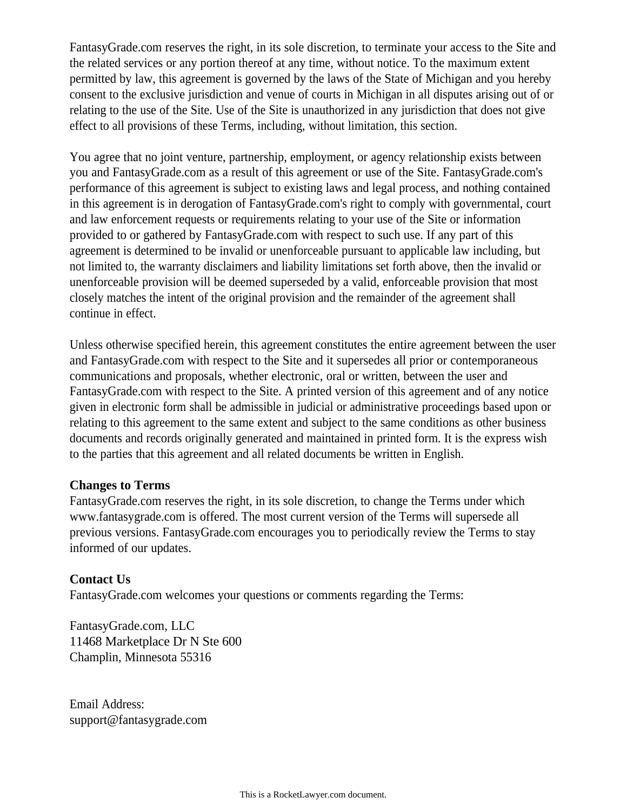FantasyGrade.com reserves the right, in its sole discretion, to terminate your access to the Site and the related services or any portion thereof at any time, without notice. To the maximum extent permitted by law, this agreement is governed by the laws of the State of Michigan and you hereby consent to the exclusive jurisdiction and venue of courts in Michigan in all disputes arising out of or relating to the use of the Site. Use of the Site is unauthorized in any jurisdiction that does not give effect to all provisions of these Terms, including, without limitation, this section.

You agree that no joint venture, partnership, employment, or agency relationship exists between you and FantasyGrade.com as a result of this agreement or use of the Site. FantasyGrade.com's performance of this agreement is subject to existing laws and legal process, and nothing contained in this agreement is in derogation of FantasyGrade.com's right to comply with governmental, court and law enforcement requests or requirements relating to your use of the Site or information provided to or gathered by FantasyGrade.com with respect to such use. If any part of this agreement is determined to be invalid or unenforceable pursuant to applicable law including, but not limited to, the warranty disclaimers and liability limitations set forth above, then the invalid or unenforceable provision will be deemed superseded by a valid, enforceable provision that most closely matches the intent of the original provision and the remainder of the agreement shall continue in effect.

Unless otherwise specified herein, this agreement constitutes the entire agreement between the user and FantasyGrade.com with respect to the Site and it supersedes all prior or contemporaneous communications and proposals, whether electronic, oral or written, between the user and FantasyGrade.com with respect to the Site. A printed version of this agreement and of any notice given in electronic form shall be admissible in judicial or administrative proceedings based upon or relating to this agreement to the same extent and subject to the same conditions as other business documents and records originally generated and maintained in printed form. It is the express wish to the parties that this agreement and all related documents be written in English.

### **Changes to Terms**

FantasyGrade.com reserves the right, in its sole discretion, to change the Terms under which www.fantasygrade.com is offered. The most current version of the Terms will supersede all previous versions. FantasyGrade.com encourages you to periodically review the Terms to stay informed of our updates.

### **Contact Us**

FantasyGrade.com welcomes your questions or comments regarding the Terms:

FantasyGrade.com, LLC 11468 Marketplace Dr N Ste 600 Champlin, Minnesota 55316

Email Address: support@fantasygrade.com